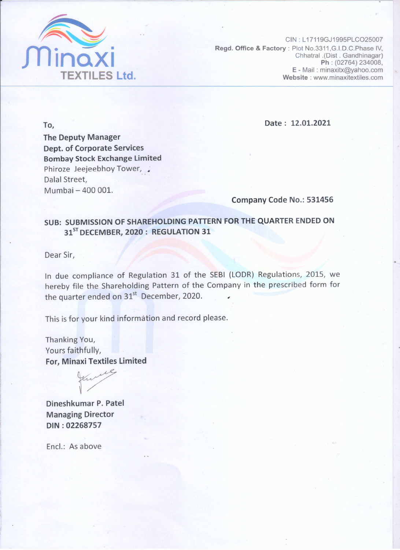

CIN: L17119GJ1995PLCO25007 Regd. Office & Factory: Plot No.3311, G.I.D.C. Phase IV, Chhatral .(Dist . Gandhinagar) Ph: (02764) 234008, E - Mail: minaxitx@yahoo.com Website: www.minaxitextiles.com

To,

Date: 12.01.2021

**The Deputy Manager Dept. of Corporate Services Bombay Stock Exchange Limited** Phiroze Jeejeebhoy Tower, Dalal Street, Mumbai - 400 001.

Company Code No.: 531456

## SUB: SUBMISSION OF SHAREHOLDING PATTERN FOR THE QUARTER ENDED ON 31<sup>ST</sup> DECEMBER, 2020: REGULATION 31

Dear Sir,

In due compliance of Regulation 31 of the SEBI (LODR) Regulations, 2015, we hereby file the Shareholding Pattern of the Company in the prescribed form for the quarter ended on 31<sup>st</sup> December, 2020.

This is for your kind information and record please.

Thanking You, Yours faithfully, For, Minaxi Textiles Limited



Dineshkumar P. Patel **Managing Director** DIN: 02268757

Encl.: As above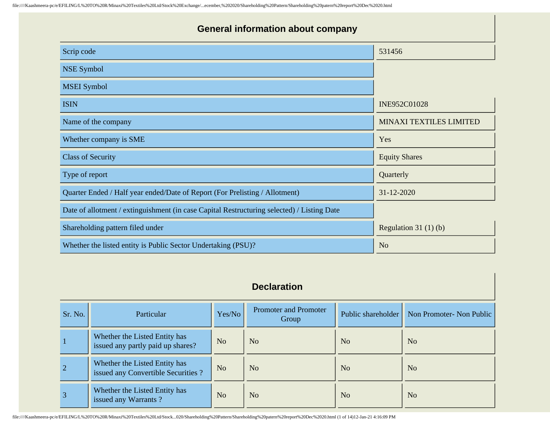| <b>General information about company</b>                                                   |                                |  |  |  |  |  |  |
|--------------------------------------------------------------------------------------------|--------------------------------|--|--|--|--|--|--|
| Scrip code                                                                                 | 531456                         |  |  |  |  |  |  |
| <b>NSE Symbol</b>                                                                          |                                |  |  |  |  |  |  |
| <b>MSEI</b> Symbol                                                                         |                                |  |  |  |  |  |  |
| <b>ISIN</b>                                                                                | INE952C01028                   |  |  |  |  |  |  |
| Name of the company                                                                        | <b>MINAXI TEXTILES LIMITED</b> |  |  |  |  |  |  |
| Whether company is SME                                                                     | Yes                            |  |  |  |  |  |  |
| <b>Class of Security</b>                                                                   | <b>Equity Shares</b>           |  |  |  |  |  |  |
| Type of report                                                                             | Quarterly                      |  |  |  |  |  |  |
| Quarter Ended / Half year ended/Date of Report (For Prelisting / Allotment)                | 31-12-2020                     |  |  |  |  |  |  |
| Date of allotment / extinguishment (in case Capital Restructuring selected) / Listing Date |                                |  |  |  |  |  |  |
| Shareholding pattern filed under                                                           | Regulation 31 $(1)(b)$         |  |  |  |  |  |  |
| Whether the listed entity is Public Sector Undertaking (PSU)?                              | N <sub>o</sub>                 |  |  |  |  |  |  |

## **Declaration**

| Sr. No.        | <b>Particular</b>                                                   | Yes/No         | Promoter and Promoter<br>Group | Public shareholder | Non Promoter- Non Public |
|----------------|---------------------------------------------------------------------|----------------|--------------------------------|--------------------|--------------------------|
|                | Whether the Listed Entity has<br>issued any partly paid up shares?  | N <sub>o</sub> | N <sub>o</sub>                 | N <sub>o</sub>     | N <sub>o</sub>           |
| $\overline{2}$ | Whether the Listed Entity has<br>issued any Convertible Securities? | N <sub>o</sub> | N <sub>o</sub>                 | N <sub>o</sub>     | N <sub>o</sub>           |
| $\overline{3}$ | Whether the Listed Entity has<br>issued any Warrants?               | N <sub>o</sub> | N <sub>o</sub>                 | N <sub>o</sub>     | N <sub>o</sub>           |

file:////Kaashmeera-pc/e/EFILING/L%20TO%20R/Minaxi%20Textiles%20Ltd/Stock...020/Shareholding%20Pattern/Shareholding%20patern%20report%20Dec%2020.html (1 of 14)12-Jan-21 4:16:09 PM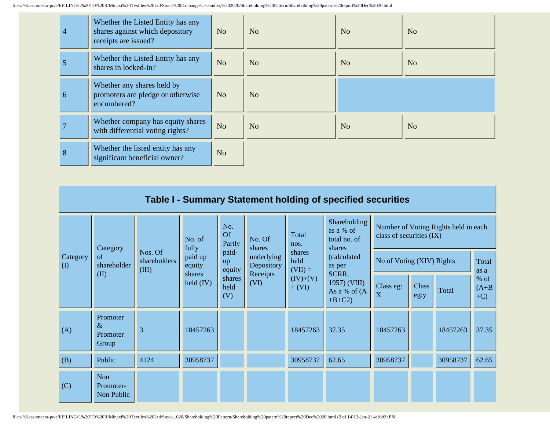| $\overline{4}$ | Whether the Listed Entity has any<br>shares against which depository<br>receipts are issued? | N <sub>o</sub> | N <sub>o</sub> | No             | N <sub>o</sub> |
|----------------|----------------------------------------------------------------------------------------------|----------------|----------------|----------------|----------------|
|                | Whether the Listed Entity has any<br>shares in locked-in?                                    | N <sub>o</sub> | N <sub>o</sub> | N <sub>0</sub> | N <sub>o</sub> |
| 6              | Whether any shares held by<br>promoters are pledge or otherwise<br>encumbered?               | N <sub>o</sub> | N <sub>o</sub> |                |                |
|                | Whether company has equity shares<br>with differential voting rights?                        | N <sub>o</sub> | N <sub>o</sub> | N <sub>o</sub> | N <sub>o</sub> |
| 8              | Whether the listed entity has any<br>significant beneficial owner?                           | N <sub>o</sub> |                |                |                |

|                      | Table I - Summary Statement holding of specified securities |                         |                                            |                                                |                                                                                                                      |                                                       |                                                                           |                           |                      |                                      |                           |  |
|----------------------|-------------------------------------------------------------|-------------------------|--------------------------------------------|------------------------------------------------|----------------------------------------------------------------------------------------------------------------------|-------------------------------------------------------|---------------------------------------------------------------------------|---------------------------|----------------------|--------------------------------------|---------------------------|--|
|                      | Category                                                    |                         | No. of<br>fully                            | No.<br><b>Of</b><br>Partly                     | Shareholding<br>as a % of<br>Total<br>class of securities (IX)<br>No. Of<br>total no. of<br>nos.<br>shares<br>shares |                                                       |                                                                           |                           |                      | Number of Voting Rights held in each |                           |  |
| Category<br>$\rm(D)$ | of<br>shareholder<br>(III)<br>(II)                          | Nos. Of<br>shareholders | paid up<br>equity<br>shares<br>held $(IV)$ | paid-<br>up<br>equity<br>shares<br>held<br>(V) | underlying<br>Depository<br>Receipts<br>(VI)                                                                         | shares<br>held<br>$(VII) =$<br>$(IV)+(V)$<br>$+ (VI)$ | (calculated<br>as per<br>SCRR,<br>1957) (VIII)<br>As a % of (A<br>$+B+C2$ | No of Voting (XIV) Rights |                      |                                      | Total<br>as a             |  |
|                      |                                                             |                         |                                            |                                                |                                                                                                                      |                                                       |                                                                           | Class eg:<br>X            | <b>Class</b><br>eg:y | Total                                | $%$ of<br>$(A+B)$<br>$+C$ |  |
| (A)                  | Promoter<br>$\&$<br>Promoter<br>Group                       | 3                       | 18457263                                   |                                                |                                                                                                                      | 18457263                                              | 37.35                                                                     | 18457263                  |                      | 18457263                             | 37.35                     |  |
| (B)                  | Public                                                      | 4124                    | 30958737                                   |                                                |                                                                                                                      | 30958737                                              | 62.65                                                                     | 30958737                  |                      | 30958737                             | 62.65                     |  |
| (C)                  | Non<br>Promoter-<br>Non Public                              |                         |                                            |                                                |                                                                                                                      |                                                       |                                                                           |                           |                      |                                      |                           |  |

file:////Kaashmeera-pc/e/EFILING/L%20TO%20R/Minaxi%20Textiles%20Ltd/Stock...020/Shareholding%20Pattern/Shareholding%20patern%20report%20Dec%2020.html (2 of 14)12-Jan-21 4:16:09 PM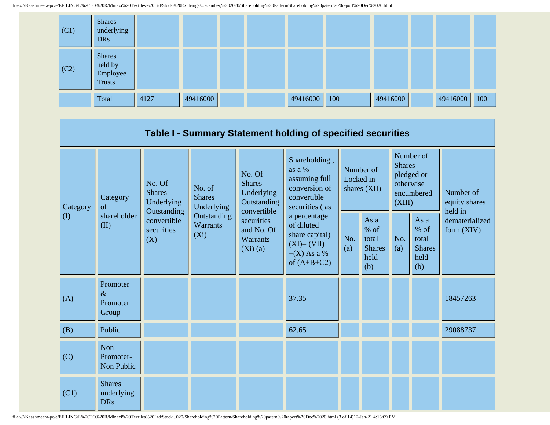

|                 |                                                                                        |                           |                                           |                                                                                                                        | Table I - Summary Statement holding of specified securities                                    |                                          |                                                         |                                                                               |                                                       |                                       |  |
|-----------------|----------------------------------------------------------------------------------------|---------------------------|-------------------------------------------|------------------------------------------------------------------------------------------------------------------------|------------------------------------------------------------------------------------------------|------------------------------------------|---------------------------------------------------------|-------------------------------------------------------------------------------|-------------------------------------------------------|---------------------------------------|--|
| Category<br>(I) | No. Of<br><b>Shares</b><br>Category<br>of<br>Outstanding<br>shareholder<br>(II)<br>(X) | Underlying                | No. of<br><b>Shares</b><br>Underlying     | No. Of<br><b>Shares</b><br>Underlying<br>Outstanding<br>convertible<br>securities<br>and No. Of<br>Warrants<br>(Xi)(a) | Shareholding,<br>as a %<br>assuming full<br>conversion of<br>convertible<br>securities (as     | Number of<br>Locked in<br>shares $(XII)$ |                                                         | Number of<br><b>Shares</b><br>pledged or<br>otherwise<br>encumbered<br>(XIII) |                                                       | Number of<br>equity shares<br>held in |  |
|                 |                                                                                        | convertible<br>securities | Outstanding<br><b>Warrants</b><br>$(X_i)$ |                                                                                                                        | a percentage<br>of diluted<br>share capital)<br>$(XI)=(VII)$<br>$+(X)$ As a %<br>of $(A+B+C2)$ | No.<br>(a)                               | As a<br>$%$ of<br>total<br><b>Shares</b><br>held<br>(b) | No.<br>(a)                                                                    | As a<br>% of<br>total<br><b>Shares</b><br>held<br>(b) | dematerialized<br>form $(XIV)$        |  |
| (A)             | Promoter<br>$\&$<br>Promoter<br>Group                                                  |                           |                                           |                                                                                                                        | 37.35                                                                                          |                                          |                                                         |                                                                               |                                                       | 18457263                              |  |
| (B)             | Public                                                                                 |                           |                                           |                                                                                                                        | 62.65                                                                                          |                                          |                                                         |                                                                               |                                                       | 29088737                              |  |
| (C)             | Non<br>Promoter-<br>Non Public                                                         |                           |                                           |                                                                                                                        |                                                                                                |                                          |                                                         |                                                                               |                                                       |                                       |  |
| (C1)            | <b>Shares</b><br>underlying<br><b>DRs</b>                                              |                           |                                           |                                                                                                                        |                                                                                                |                                          |                                                         |                                                                               |                                                       |                                       |  |

file:////Kaashmeera-pc/e/EFILING/L%20TO%20R/Minaxi%20Textiles%20Ltd/Stock...020/Shareholding%20Pattern/Shareholding%20patern%20report%20Dec%2020.html (3 of 14)12-Jan-21 4:16:09 PM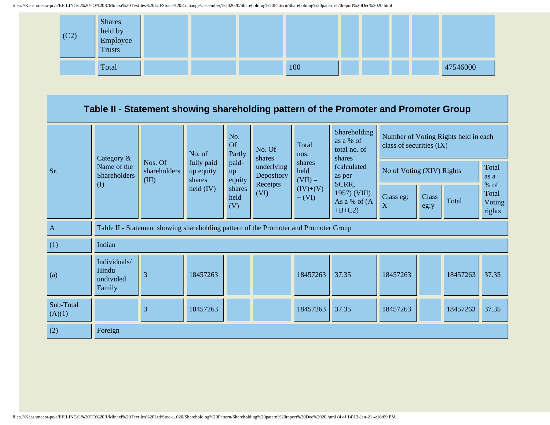

## **Table II - Statement showing shareholding pattern of the Promoter and Promoter Group**

|                     | Category &                                                                           |                                  | No. of                            | No.<br><b>Of</b><br>Partly | No. Of<br>shares                     | Total<br>nos.               | Shareholding<br>as a % of<br>total no. of<br>shares | Number of Voting Rights held in each<br>class of securities (IX) |               |               |                           |
|---------------------|--------------------------------------------------------------------------------------|----------------------------------|-----------------------------------|----------------------------|--------------------------------------|-----------------------------|-----------------------------------------------------|------------------------------------------------------------------|---------------|---------------|---------------------------|
| Sr.                 | Name of the<br><b>Shareholders</b><br>$\rm (I)$                                      | Nos. Of<br>shareholders<br>(III) | fully paid<br>up equity<br>shares | paid-<br>up<br>equity      | underlying<br>Depository<br>Receipts | shares<br>held<br>$(VII) =$ | (calculated<br>as per<br>SCRR,                      | No of Voting (XIV) Rights<br>$%$ of                              |               | Total<br>as a |                           |
|                     |                                                                                      |                                  | $\text{held (IV)}$                | shares<br>held<br>(V)      | (VI)                                 | $(IV)+(V)$<br>$+ (VI)$      | 1957) (VIII)<br>As a % of (A<br>$+B+C2$             | Class eg:<br>X                                                   | Class<br>eg:y | Total         | Total<br>Voting<br>rights |
| $\mathbf{A}$        | Table II - Statement showing shareholding pattern of the Promoter and Promoter Group |                                  |                                   |                            |                                      |                             |                                                     |                                                                  |               |               |                           |
| (1)                 | Indian                                                                               |                                  |                                   |                            |                                      |                             |                                                     |                                                                  |               |               |                           |
| (a)                 | Individuals/<br>Hindu<br>undivided<br>Family                                         | 3                                | 18457263                          |                            |                                      | 18457263                    | 37.35                                               | 18457263                                                         |               | 18457263      | 37.35                     |
| Sub-Total<br>(A)(1) |                                                                                      | 3                                | 18457263                          |                            |                                      | 18457263                    | 37.35                                               | 18457263                                                         |               | 18457263      | 37.35                     |
| (2)                 | Foreign                                                                              |                                  |                                   |                            |                                      |                             |                                                     |                                                                  |               |               |                           |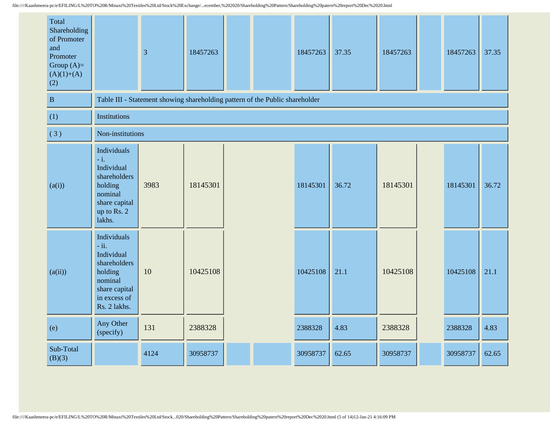| Total<br>Shareholding<br>of Promoter<br>and<br>Promoter<br>Group $(A)=$<br>$(A)(1)+(A)$<br>(2) |                                                                                                                            | 3                                                                            | 18457263 |  | 18457263 | 37.35 | 18457263 | 18457263 | 37.35 |
|------------------------------------------------------------------------------------------------|----------------------------------------------------------------------------------------------------------------------------|------------------------------------------------------------------------------|----------|--|----------|-------|----------|----------|-------|
| $\, {\bf B}$                                                                                   |                                                                                                                            | Table III - Statement showing shareholding pattern of the Public shareholder |          |  |          |       |          |          |       |
| (1)                                                                                            | <b>Institutions</b>                                                                                                        |                                                                              |          |  |          |       |          |          |       |
| (3)                                                                                            | Non-institutions                                                                                                           |                                                                              |          |  |          |       |          |          |       |
| (a(i))                                                                                         | Individuals<br>$-i$ .<br>Individual<br>shareholders<br>holding<br>nominal<br>share capital<br>up to Rs. 2<br>lakhs.        | 3983                                                                         | 18145301 |  | 18145301 | 36.72 | 18145301 | 18145301 | 36.72 |
| (a(ii))                                                                                        | Individuals<br>$-ii.$<br>Individual<br>shareholders<br>holding<br>nominal<br>share capital<br>in excess of<br>Rs. 2 lakhs. | 10                                                                           | 10425108 |  | 10425108 | 21.1  | 10425108 | 10425108 | 21.1  |
| (e)                                                                                            | Any Other<br>(specify)                                                                                                     | 131                                                                          | 2388328  |  | 2388328  | 4.83  | 2388328  | 2388328  | 4.83  |
| Sub-Total<br>(B)(3)                                                                            |                                                                                                                            | 4124                                                                         | 30958737 |  | 30958737 | 62.65 | 30958737 | 30958737 | 62.65 |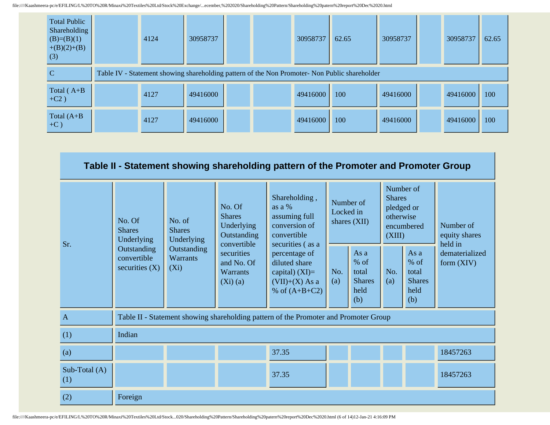| <b>Total Public</b><br>Shareholding<br>$(B)=(B)(1)$<br>$+(B)(2)+(B)$<br>(3) | 4124                                                                                          | 30958737 |  |  | 30958737 | 62.65 | 30958737 |  | 30958737 | 62.65 |
|-----------------------------------------------------------------------------|-----------------------------------------------------------------------------------------------|----------|--|--|----------|-------|----------|--|----------|-------|
| C                                                                           | Table IV - Statement showing shareholding pattern of the Non Promoter- Non Public shareholder |          |  |  |          |       |          |  |          |       |
| Total $(A+B)$<br>$+C2)$                                                     | 4127                                                                                          | 49416000 |  |  | 49416000 | 100   | 49416000 |  | 49416000 | 100   |
| Total $(A+B)$<br>$+C$ )                                                     | 4127                                                                                          | 49416000 |  |  | 49416000 | 100   | 49416000 |  | 49416000 | 100   |

|                      | Table II - Statement showing shareholding pattern of the Promoter and Promoter Group |                                           |                                                                     |                                                                                              |                                          |                                                         |                                                                               |                                                         |                                       |  |
|----------------------|--------------------------------------------------------------------------------------|-------------------------------------------|---------------------------------------------------------------------|----------------------------------------------------------------------------------------------|------------------------------------------|---------------------------------------------------------|-------------------------------------------------------------------------------|---------------------------------------------------------|---------------------------------------|--|
| Sr.                  | No. Of<br><b>Shares</b><br>Underlying                                                | No. of<br><b>Shares</b><br>Underlying     | No. Of<br><b>Shares</b><br>Underlying<br>Outstanding<br>convertible | Shareholding,<br>as a %<br>assuming full<br>conversion of<br>convertible<br>securities (as a | Number of<br>Locked in<br>shares $(XII)$ |                                                         | Number of<br><b>Shares</b><br>pledged or<br>otherwise<br>encumbered<br>(XIII) |                                                         | Number of<br>equity shares<br>held in |  |
|                      | Outstanding<br>convertible<br>securities $(X)$                                       | Outstanding<br><b>Warrants</b><br>$(X_i)$ | securities<br>and No. Of<br><b>Warrants</b><br>$(Xi)$ (a)           | percentage of<br>diluted share<br>capital) $(XI)=$<br>$(VII)+(X)$ As a<br>% of $(A+B+C2)$    | No.<br>(a)                               | As a<br>$%$ of<br>total<br><b>Shares</b><br>held<br>(b) | No.<br>(a)                                                                    | As a<br>$%$ of<br>total<br><b>Shares</b><br>held<br>(b) | dematerialized<br>form $(XIV)$        |  |
| $\overline{A}$       |                                                                                      |                                           |                                                                     | Table II - Statement showing shareholding pattern of the Promoter and Promoter Group         |                                          |                                                         |                                                                               |                                                         |                                       |  |
| (1)                  | Indian                                                                               |                                           |                                                                     |                                                                                              |                                          |                                                         |                                                                               |                                                         |                                       |  |
| (a)                  |                                                                                      |                                           |                                                                     | 37.35                                                                                        |                                          |                                                         |                                                                               |                                                         | 18457263                              |  |
| Sub-Total (A)<br>(1) |                                                                                      |                                           |                                                                     | 37.35                                                                                        |                                          |                                                         |                                                                               |                                                         | 18457263                              |  |
| (2)                  | Foreign                                                                              |                                           |                                                                     |                                                                                              |                                          |                                                         |                                                                               |                                                         |                                       |  |

file:////Kaashmeera-pc/e/EFILING/L%20TO%20R/Minaxi%20Textiles%20Ltd/Stock...020/Shareholding%20Pattern/Shareholding%20patern%20report%20Dec%2020.html (6 of 14)12-Jan-21 4:16:09 PM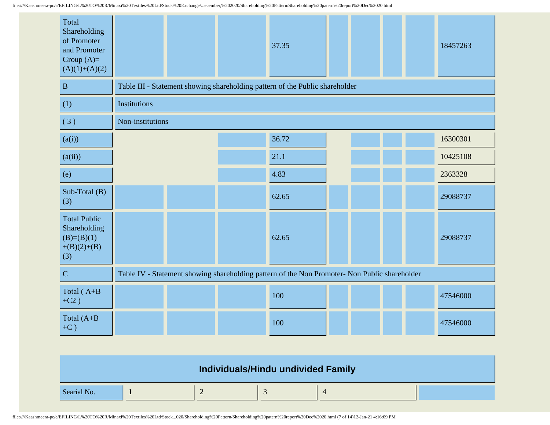| Total<br>Shareholding<br>of Promoter<br>and Promoter<br>Group $(A)=$<br>$(A)(1)+(A)(2)$ |                  |  | 37.35                                                                                         |  |  | 18457263 |
|-----------------------------------------------------------------------------------------|------------------|--|-----------------------------------------------------------------------------------------------|--|--|----------|
| $\, {\bf B}$                                                                            |                  |  | Table III - Statement showing shareholding pattern of the Public shareholder                  |  |  |          |
| (1)                                                                                     | Institutions     |  |                                                                                               |  |  |          |
| (3)                                                                                     | Non-institutions |  |                                                                                               |  |  |          |
| (a(i))                                                                                  |                  |  | 36.72                                                                                         |  |  | 16300301 |
| (a(ii))                                                                                 |                  |  | 21.1                                                                                          |  |  | 10425108 |
| (e)                                                                                     |                  |  | 4.83                                                                                          |  |  | 2363328  |
| Sub-Total (B)<br>(3)                                                                    |                  |  | 62.65                                                                                         |  |  | 29088737 |
| <b>Total Public</b><br>Shareholding<br>$(B)=(B)(1)$<br>$+(B)(2)+(B)$<br>(3)             |                  |  | 62.65                                                                                         |  |  | 29088737 |
| $\overline{C}$                                                                          |                  |  | Table IV - Statement showing shareholding pattern of the Non Promoter- Non Public shareholder |  |  |          |
| Total (A+B<br>$+C2)$                                                                    |                  |  | 100                                                                                           |  |  | 47546000 |
| Total $(A+B)$<br>$+C$ )                                                                 |                  |  | 100                                                                                           |  |  | 47546000 |

|             | Individuals/Hindu undivided Family |  |  |
|-------------|------------------------------------|--|--|
| Searial No. |                                    |  |  |

file:////Kaashmeera-pc/e/EFILING/L%20TO%20R/Minaxi%20Textiles%20Ltd/Stock...020/Shareholding%20Pattern/Shareholding%20patern%20report%20Dec%2020.html (7 of 14)12-Jan-21 4:16:09 PM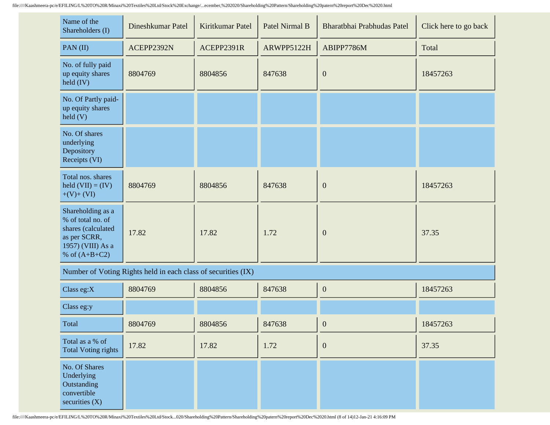| Name of the<br>Shareholders (I)                                                                                      | Dineshkumar Patel | Kiritkumar Patel | Patel Nirmal B | Bharatbhai Prabhudas Patel | Click here to go back |
|----------------------------------------------------------------------------------------------------------------------|-------------------|------------------|----------------|----------------------------|-----------------------|
| PAN(II)                                                                                                              | ACEPP2392N        | ACEPP2391R       | ARWPP5122H     | ABIPP7786M                 | Total                 |
| No. of fully paid<br>up equity shares<br>$\text{held (IV)}$                                                          | 8804769           | 8804856          | 847638         | $\overline{0}$             | 18457263              |
| No. Of Partly paid-<br>up equity shares<br>$\text{held}(V)$                                                          |                   |                  |                |                            |                       |
| No. Of shares<br>underlying<br>Depository<br>Receipts (VI)                                                           |                   |                  |                |                            |                       |
| Total nos. shares<br>held $(VII) = (IV)$<br>$+(V)+(VI)$                                                              | 8804769           | 8804856          | 847638         | $\overline{0}$             | 18457263              |
| Shareholding as a<br>% of total no. of<br>shares (calculated<br>as per SCRR,<br>1957) (VIII) As a<br>% of $(A+B+C2)$ | 17.82             | 17.82            | 1.72           | $\mathbf{0}$               | 37.35                 |

Number of Voting Rights held in each class of securities (IX)

| Class eg:X                                                                    | 8804769 | 8804856 | 847638 | $\theta$     | 18457263 |
|-------------------------------------------------------------------------------|---------|---------|--------|--------------|----------|
| Class eg:y                                                                    |         |         |        |              |          |
| Total                                                                         | 8804769 | 8804856 | 847638 | $\mathbf{0}$ | 18457263 |
| Total as a % of<br>Total Voting rights                                        | 17.82   | 17.82   | 1.72   | $\mathbf{0}$ | 37.35    |
| No. Of Shares<br>Underlying<br>Outstanding<br>convertible<br>securities $(X)$ |         |         |        |              |          |

file:////Kaashmeera-pc/e/EFILING/L%20TO%20R/Minaxi%20Textiles%20Ltd/Stock...020/Shareholding%20Pattern/Shareholding%20patern%20report%20Dec%2020.html (8 of 14)12-Jan-21 4:16:09 PM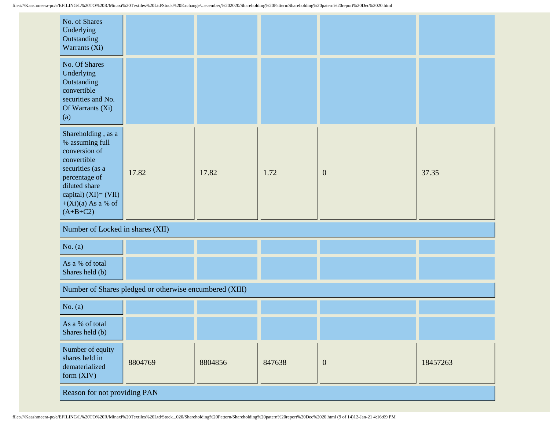| No. of Shares<br>Underlying<br>Outstanding<br>Warrants (Xi)                                                                                                                                  |                                                         |         |        |                  |          |  |  |
|----------------------------------------------------------------------------------------------------------------------------------------------------------------------------------------------|---------------------------------------------------------|---------|--------|------------------|----------|--|--|
| No. Of Shares<br>Underlying<br>Outstanding<br>convertible<br>securities and No.<br>Of Warrants (Xi)<br>(a)                                                                                   |                                                         |         |        |                  |          |  |  |
| Shareholding, as a<br>% assuming full<br>conversion of<br>convertible<br>securities (as a<br>percentage of<br>diluted share<br>capital) $(XI) = (VII)$<br>$+(Xi)(a)$ As a % of<br>$(A+B+C2)$ | 17.82                                                   | 17.82   | 1.72   | $\boldsymbol{0}$ | 37.35    |  |  |
| Number of Locked in shares (XII)                                                                                                                                                             |                                                         |         |        |                  |          |  |  |
| No. $(a)$                                                                                                                                                                                    |                                                         |         |        |                  |          |  |  |
| As a % of total<br>Shares held (b)                                                                                                                                                           |                                                         |         |        |                  |          |  |  |
|                                                                                                                                                                                              | Number of Shares pledged or otherwise encumbered (XIII) |         |        |                  |          |  |  |
| No. $(a)$                                                                                                                                                                                    |                                                         |         |        |                  |          |  |  |
| As a % of total<br>Shares held (b)                                                                                                                                                           |                                                         |         |        |                  |          |  |  |
| Number of equity<br>shares held in<br>dematerialized<br>form (XIV)                                                                                                                           | 8804769                                                 | 8804856 | 847638 | $\mathbf{0}$     | 18457263 |  |  |
| Reason for not providing PAN                                                                                                                                                                 |                                                         |         |        |                  |          |  |  |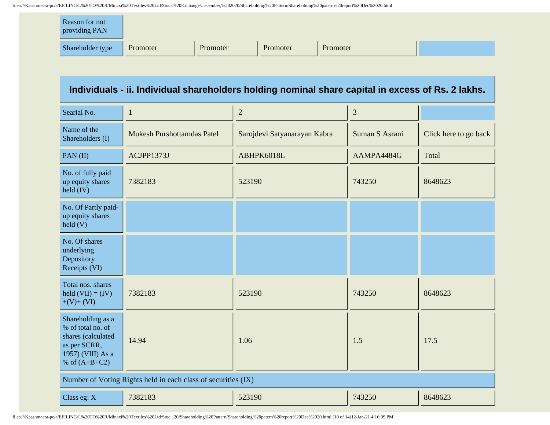| Reason for not<br>providing PAN |          |          |          |          |  |
|---------------------------------|----------|----------|----------|----------|--|
| Shareholder type                | Promoter | Promoter | Promoter | Promoter |  |

## **Individuals - ii. Individual shareholders holding nominal share capital in excess of Rs. 2 lakhs.**

| Searial No.                                                                                                          | 1                                                             | $\overline{2}$               | 3              |                       |
|----------------------------------------------------------------------------------------------------------------------|---------------------------------------------------------------|------------------------------|----------------|-----------------------|
| Name of the<br>Shareholders (I)                                                                                      | <b>Mukesh Purshottamdas Patel</b>                             | Sarojdevi Satyanarayan Kabra | Suman S Asrani | Click here to go back |
| PAN(II)                                                                                                              | ACJPP1373J                                                    | ABHPK6018L                   | AAMPA4484G     | Total                 |
| No. of fully paid<br>up equity shares<br>$\text{held (IV)}$                                                          | 7382183                                                       | 523190                       | 743250         | 8648623               |
| No. Of Partly paid-<br>up equity shares<br>$\text{held}(V)$                                                          |                                                               |                              |                |                       |
| No. Of shares<br>underlying<br>Depository<br>Receipts (VI)                                                           |                                                               |                              |                |                       |
| Total nos. shares<br>held $(VII) = (IV)$<br>$+(V)+(VI)$                                                              | 7382183                                                       | 523190                       | 743250         | 8648623               |
| Shareholding as a<br>% of total no. of<br>shares (calculated<br>as per SCRR,<br>1957) (VIII) As a<br>% of $(A+B+C2)$ | 14.94                                                         | 1.06                         | 1.5            | 17.5                  |
|                                                                                                                      | Number of Voting Rights held in each class of securities (IX) |                              |                |                       |
| Class eg: X                                                                                                          | 7382183                                                       | 523190                       | 743250         | 8648623               |

file:////Kaashmeera-pc/e/EFILING/L%20TO%20R/Minaxi%20Textiles%20Ltd/Stoc...20/Shareholding%20Pattern/Shareholding%20patern%20report%20Dec%2020.html (10 of 14)12-Jan-21 4:16:09 PM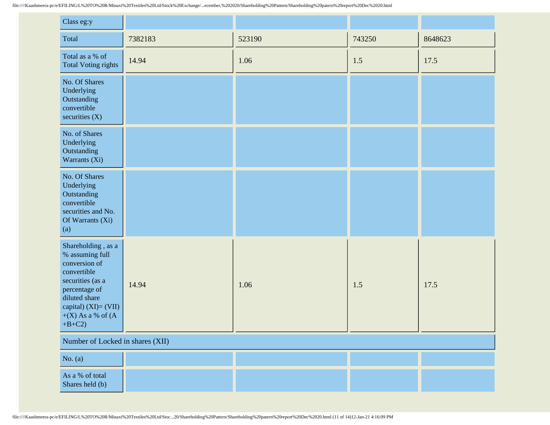| Class eg:y                                                                                                                                                                                  |         |        |        |         |
|---------------------------------------------------------------------------------------------------------------------------------------------------------------------------------------------|---------|--------|--------|---------|
| Total                                                                                                                                                                                       | 7382183 | 523190 | 743250 | 8648623 |
| Total as a % of<br><b>Total Voting rights</b>                                                                                                                                               | 14.94   | 1.06   | 1.5    | 17.5    |
| No. Of Shares<br>Underlying<br>Outstanding<br>convertible<br>securities $(X)$                                                                                                               |         |        |        |         |
| No. of Shares<br>Underlying<br>Outstanding<br>Warrants (Xi)                                                                                                                                 |         |        |        |         |
| No. Of Shares<br>Underlying<br>Outstanding<br>convertible<br>securities and No.<br>Of Warrants (Xi)<br>(a)                                                                                  |         |        |        |         |
| Shareholding, as a<br>% assuming full<br>conversion of<br>convertible<br>securities (as a<br>percentage of<br>diluted share<br>capital) $(XI) = (VII)$<br>$+(X)$ As a % of $(A)$<br>$+B+C2$ | 14.94   | 1.06   | 1.5    | 17.5    |
| Number of Locked in shares (XII)                                                                                                                                                            |         |        |        |         |
| No. (a)                                                                                                                                                                                     |         |        |        |         |
| As a % of total<br>Shares held (b)                                                                                                                                                          |         |        |        |         |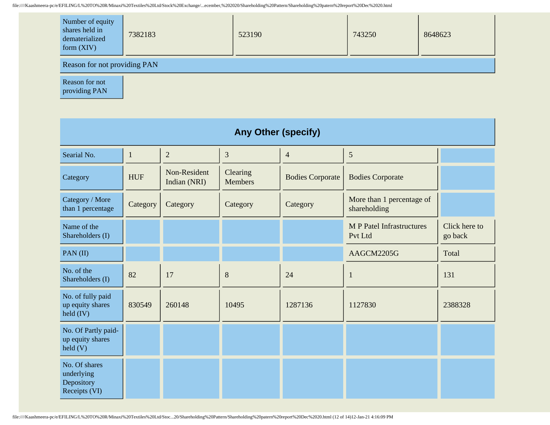| Number of equity<br>shares held in<br>dematerialized<br>form $(XIV)$ | 7382183 | 523190 | 743250 | 8648623 |  |  |
|----------------------------------------------------------------------|---------|--------|--------|---------|--|--|
| Reason for not providing PAN                                         |         |        |        |         |  |  |

Reason for not providing PAN

| <b>Any Other (specify)</b>                                 |              |                              |                            |                         |                                             |                          |  |
|------------------------------------------------------------|--------------|------------------------------|----------------------------|-------------------------|---------------------------------------------|--------------------------|--|
| Searial No.                                                | $\mathbf{1}$ | $\overline{2}$               | 3                          | $\overline{4}$          | 5                                           |                          |  |
| Category                                                   | <b>HUF</b>   | Non-Resident<br>Indian (NRI) | Clearing<br><b>Members</b> | <b>Bodies Corporate</b> | <b>Bodies Corporate</b>                     |                          |  |
| Category / More<br>than 1 percentage                       | Category     | Category                     | Category                   | Category                | More than 1 percentage of<br>shareholding   |                          |  |
| Name of the<br>Shareholders (I)                            |              |                              |                            |                         | <b>M P Patel Infrastructures</b><br>Pvt Ltd | Click here to<br>go back |  |
| PAN(II)                                                    |              |                              |                            |                         | AAGCM2205G                                  | Total                    |  |
| No. of the<br>Shareholders (I)                             | 82           | 17                           | 8                          | 24                      | 1                                           | 131                      |  |
| No. of fully paid<br>up equity shares<br>held $(IV)$       | 830549       | 260148                       | 10495                      | 1287136                 | 1127830                                     | 2388328                  |  |
| No. Of Partly paid-<br>up equity shares<br>held (V)        |              |                              |                            |                         |                                             |                          |  |
| No. Of shares<br>underlying<br>Depository<br>Receipts (VI) |              |                              |                            |                         |                                             |                          |  |

file:////Kaashmeera-pc/e/EFILING/L%20TO%20R/Minaxi%20Textiles%20Ltd/Stoc...20/Shareholding%20Pattern/Shareholding%20patern%20report%20Dec%2020.html (12 of 14)12-Jan-21 4:16:09 PM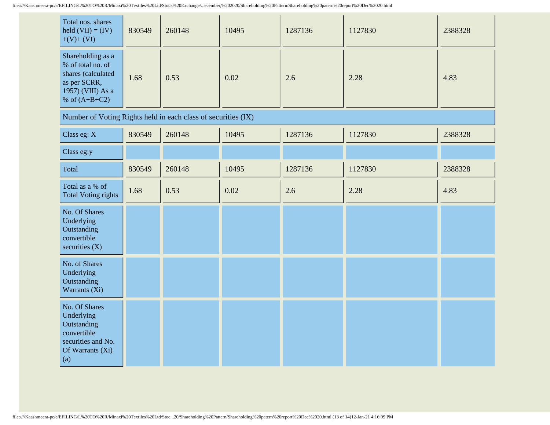| Total nos. shares<br>held $(VII) = (IV)$<br>$+(V)+(VI)$                                                              | 830549 | 260148 | 10495 | 1287136 | 1127830 | 2388328 |
|----------------------------------------------------------------------------------------------------------------------|--------|--------|-------|---------|---------|---------|
| Shareholding as a<br>% of total no. of<br>shares (calculated<br>as per SCRR,<br>1957) (VIII) As a<br>% of $(A+B+C2)$ | 1.68   | 0.53   | 0.02  | 2.6     | 2.28    | 4.83    |
| Number of Voting Rights held in each class of securities (IX)                                                        |        |        |       |         |         |         |

| Class eg: X                                                                                                | 830549 | 260148 | 10495 | 1287136 | 1127830 | 2388328 |
|------------------------------------------------------------------------------------------------------------|--------|--------|-------|---------|---------|---------|
| Class eg:y                                                                                                 |        |        |       |         |         |         |
| Total                                                                                                      | 830549 | 260148 | 10495 | 1287136 | 1127830 | 2388328 |
| Total as a % of<br><b>Total Voting rights</b>                                                              | 1.68   | 0.53   | 0.02  | 2.6     | 2.28    | 4.83    |
| No. Of Shares<br>Underlying<br>Outstanding<br>convertible<br>securities (X)                                |        |        |       |         |         |         |
| No. of Shares<br>Underlying<br>Outstanding<br>Warrants (Xi)                                                |        |        |       |         |         |         |
| No. Of Shares<br>Underlying<br>Outstanding<br>convertible<br>securities and No.<br>Of Warrants (Xi)<br>(a) |        |        |       |         |         |         |